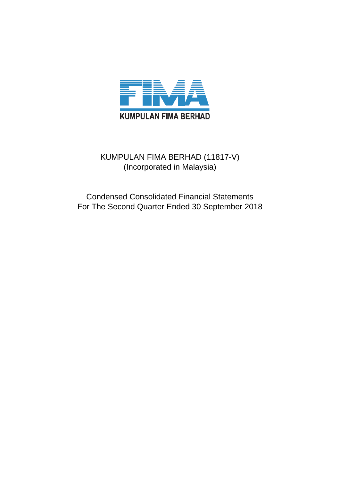

# KUMPULAN FIMA BERHAD (11817-V) (Incorporated in Malaysia)

Condensed Consolidated Financial Statements For The Second Quarter Ended 30 September 2018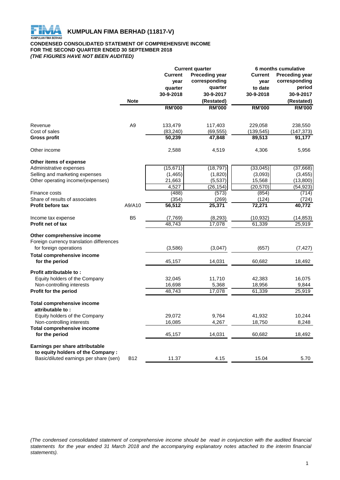

#### **CONDENSED CONSOLIDATED STATEMENT OF COMPREHENSIVE INCOME FOR THE SECOND QUARTER ENDED 30 SEPTEMBER 2018** *(THE FIGURES HAVE NOT BEEN AUDITED)*

|                                                                    |                 |                | <b>Current quarter</b> |                     | 6 months cumulative   |
|--------------------------------------------------------------------|-----------------|----------------|------------------------|---------------------|-----------------------|
|                                                                    |                 | <b>Current</b> | <b>Preceding year</b>  | <b>Current</b>      | <b>Preceding year</b> |
|                                                                    |                 | year           | corresponding          | year                | corresponding         |
|                                                                    |                 | quarter        | quarter                | to date             | period                |
|                                                                    |                 | 30-9-2018      | 30-9-2017              | 30-9-2018           | 30-9-2017             |
|                                                                    | <b>Note</b>     |                | (Restated)             |                     | (Restated)            |
|                                                                    |                 | <b>RM'000</b>  | <b>RM'000</b>          | <b>RM'000</b>       | <b>RM'000</b>         |
| Revenue                                                            | A <sub>9</sub>  | 133,479        | 117,403                | 229,058             | 238,550               |
| Cost of sales                                                      |                 | (83, 240)      | (69, 555)              | (139, 545)          | (147,373)             |
| <b>Gross profit</b>                                                |                 | 50,239         | 47,848                 | 89,513              | 91,177                |
| Other income                                                       |                 | 2,588          | 4,519                  | 4,306               | 5,956                 |
| Other items of expense                                             |                 |                |                        |                     |                       |
| Administrative expenses                                            |                 | (15, 671)      | (18, 797)              | (33,045)            | (37,668)              |
| Selling and marketing expenses                                     |                 | (1, 465)       | (1,820)                | (3,093)             | (3, 455)              |
| Other operating income/(expenses)                                  |                 | 21,663         | (5,537)                | 15,568              | (13,800)              |
|                                                                    |                 | 4,527          | (26, 154)              | (20, 570)           | (54,923)              |
| Finance costs                                                      |                 | (488)          | (573)                  | (854)               | (714)                 |
| Share of results of associates                                     |                 | (354)          | (269)                  | (124)               | (724)                 |
| <b>Profit before tax</b>                                           | A9/A10          | 36,512         | 25,371                 | $\overline{72,}271$ | 40,772                |
| Income tax expense                                                 | B <sub>5</sub>  | (7,769)        | (8, 293)               | (10, 932)           | (14, 853)             |
| <b>Profit net of tax</b>                                           |                 | 48,743         | 17,078                 | 61,339              | 25,919                |
| Other comprehensive income                                         |                 |                |                        |                     |                       |
| Foreign currency translation differences<br>for foreign operations |                 | (3,586)        | (3,047)                | (657)               | (7, 427)              |
| <b>Total comprehensive income</b>                                  |                 |                |                        |                     |                       |
| for the period                                                     |                 | 45,157         | 14,031                 | 60,682              | 18,492                |
| Profit attributable to:                                            |                 |                |                        |                     |                       |
| Equity holders of the Company                                      |                 | 32,045         | 11,710                 | 42,383              | 16,075                |
| Non-controlling interests                                          |                 | 16,698         | 5,368                  | 18,956              | 9,844                 |
| Profit for the period                                              |                 | 48,743         | 17,078                 | 61,339              | 25,919                |
| <b>Total comprehensive income</b><br>attributable to:              |                 |                |                        |                     |                       |
| Equity holders of the Company                                      |                 | 29,072         | 9,764                  | 41,932              | 10,244                |
| Non-controlling interests                                          |                 | 16,085         | 4,267                  | 18,750              | 8,248                 |
| <b>Total comprehensive income</b>                                  |                 |                |                        |                     |                       |
| for the period                                                     |                 | 45,157         | 14,031                 | 60,682              | 18,492                |
| Earnings per share attributable                                    |                 |                |                        |                     |                       |
| to equity holders of the Company :                                 |                 |                |                        |                     |                       |
| Basic/diluted earnings per share (sen)                             | B <sub>12</sub> | 11.37          | 4.15                   | 15.04               | 5.70                  |

(The condensed consolidated statement of comprehensive income should be read in conjunction with the audited financial statements for the year ended 31 March 2018 and the accompanying explanatory notes attached to the interim financial *statements).*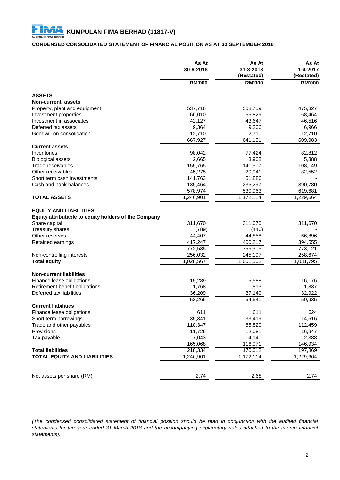# **CONDENSED CONSOLIDATED STATEMENT OF FINANCIAL POSITION AS AT 30 SEPTEMBER 2018**

|                                                      | As At<br>30-9-2018 | As At<br>31-3-2018<br>(Restated) | As At<br>1-4-2017<br>(Restated) |
|------------------------------------------------------|--------------------|----------------------------------|---------------------------------|
|                                                      | <b>RM'000</b>      | <b>RM'000</b>                    | <b>RM'000</b>                   |
| <b>ASSETS</b>                                        |                    |                                  |                                 |
| <b>Non-current assets</b>                            |                    |                                  |                                 |
| Property, plant and equipment                        | 537,716            | 508,759                          | 475,327                         |
| Investment properties                                | 66,010             | 66,829                           | 68,464                          |
| Investment in associates                             | 42,127             | 43,647                           | 46,516                          |
| Deferred tax assets                                  | 9,364              | 9,206                            | 6,966                           |
| Goodwill on consolidation                            | 12,710             | 12,710                           | 12,710                          |
|                                                      | 667,927            | 641,151                          | 609,983                         |
| <b>Current assets</b>                                |                    |                                  |                                 |
| Inventories                                          | 98,042             | 77,424                           | 82,812                          |
| <b>Biological assets</b>                             | 2,665              | 3,908                            | 5,388                           |
| Trade receivables                                    | 155,765            | 141,507                          | 108,149                         |
| Other receivables                                    | 45,275             | 20,941                           | 32,552                          |
| Short term cash investments                          | 141,763            | 51,886                           |                                 |
| Cash and bank balances                               | 135,464            | 235,297                          | 390,780                         |
|                                                      | 578,974            | 530,963                          | 619,681                         |
| <b>TOTAL ASSETS</b>                                  | 1,246,901          | 1,172,114                        | 1,229,664                       |
|                                                      |                    |                                  |                                 |
| <b>EQUITY AND LIABILITIES</b>                        |                    |                                  |                                 |
| Equity attributable to equity holders of the Company |                    |                                  |                                 |
| Share capital                                        | 311,670            | 311,670                          | 311,670                         |
| Treasury shares                                      | (789)              | (440)                            |                                 |
| Other reserves                                       | 44,407             | 44,858                           | 66,896                          |
| Retained earnings                                    | 417,247            | 400,217                          | 394,555                         |
|                                                      | 772,535            | 756,305                          | 773,121                         |
| Non-controlling interests                            | 256,032            | 245,197                          | 258,674                         |
| <b>Total equity</b>                                  | 1,028,567          | 1,001,502                        | 1,031,795                       |
| <b>Non-current liabilities</b>                       |                    |                                  |                                 |
| Finance lease obligations                            | 15,289             | 15,588                           | 16,176                          |
| Retirement benefit obligations                       | 1,768              | 1,813                            | 1,837                           |
| Deferred tax liabilities                             | 36,209             | 37,140                           | 32,922                          |
|                                                      | 53,266             | 54,541                           | 50,935                          |
| <b>Current liabilities</b>                           |                    |                                  |                                 |
| Finance lease obligations                            | 611                | 611                              | 624                             |
| Short term borrowings                                | 35,341             | 33,419                           | 14,516                          |
| Trade and other payables                             | 110,347            | 65,820                           | 112,459                         |
| Provisions                                           | 11,726             | 12,081                           | 16,947                          |
| Tax payable                                          | 7,043              | 4,140                            | 2,388                           |
|                                                      | 165,068            | 116,071                          | 146,934                         |
| <b>Total liabilities</b>                             | 218,334            | 170,612                          | 197,869                         |
| <b>TOTAL EQUITY AND LIABILITIES</b>                  | 1,246,901          | 1,172,114                        | 1,229,664                       |
|                                                      |                    |                                  |                                 |
| Net assets per share (RM)                            | 2.74               | 2.68                             | 2.74                            |

(The condensed consolidated statement of financial position should be read in conjunction with the audited financial statements for the year ended 31 March 2018 and the accompanying explanatory notes attached to the interim financial *statements).*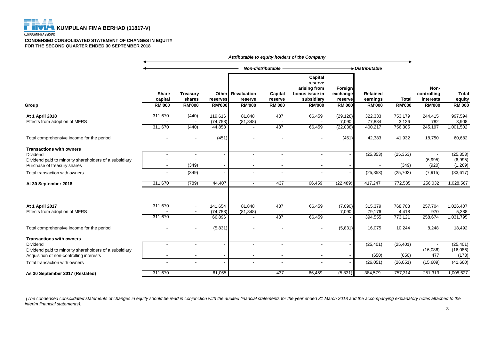

#### **KUMPULAN FIMA BERHAD**

#### **CONDENSED CONSOLIDATED STATEMENT OF CHANGES IN EQUITY FOR THE SECOND QUARTER ENDED 30 SEPTEMBER 2018**

|                                                                                                                                      | Attributable to equity holders of the Company |                           |                                |                                     |                    |                                                                    |                                 |                              |                             |                                  |                                 |
|--------------------------------------------------------------------------------------------------------------------------------------|-----------------------------------------------|---------------------------|--------------------------------|-------------------------------------|--------------------|--------------------------------------------------------------------|---------------------------------|------------------------------|-----------------------------|----------------------------------|---------------------------------|
|                                                                                                                                      |                                               |                           |                                | Non-distributable -                 |                    |                                                                    | $\rightarrow$ Distributable     |                              |                             |                                  |                                 |
|                                                                                                                                      | <b>Share</b><br>capital                       | <b>Treasury</b><br>shares | reserves                       | <b>Other</b> Revaluation<br>reserve | Capital<br>reserve | Capital<br>reserve<br>arising from<br>bonus issue in<br>subsidiary | Foreign<br>exchange<br>reserve  | Retained<br>earnings         | <b>Total</b>                | Non-<br>controlling<br>interests | <b>Total</b><br>equity          |
| Group                                                                                                                                | <b>RM'000</b>                                 | <b>RM'000</b>             | <b>RM'000</b>                  | <b>RM'000</b>                       | <b>RM'000</b>      | <b>RM'000</b>                                                      | <b>RM'000</b>                   | <b>RM'000</b>                | <b>RM'000</b>               | <b>RM'000</b>                    | <b>RM'000</b>                   |
| At 1 April 2018<br>Effects from adoption of MFRS                                                                                     | 311,670<br>311,670                            | (440)<br>(440)            | 119,616<br>(74, 758)<br>44,858 | 81,848<br>(81, 848)                 | 437<br>437         | 66,459<br>66,459                                                   | (29, 128)<br>7,090<br>(22, 038) | 322,333<br>77,884<br>400,217 | 753,179<br>3,126<br>756,305 | 244,415<br>782<br>245,197        | 997,594<br>3,908<br>1,001,502   |
| Total comprehensive income for the period                                                                                            |                                               |                           | (451)                          |                                     |                    |                                                                    | (451)                           | 42,383                       | 41,932                      | 18,750                           | 60,682                          |
| <b>Transactions with owners</b><br>Dividend<br>Dividend paid to minority shareholders of a subsidiary<br>Purchase of treasury shares |                                               | (349)                     |                                | $\overline{\phantom{a}}$            |                    | $\overline{\phantom{a}}$                                           |                                 | (25, 353)                    | (25, 353)<br>(349)          | (6,995)<br>(920)                 | (25, 353)<br>(6,995)<br>(1,269) |
| Total transaction with owners                                                                                                        |                                               | (349)                     |                                |                                     |                    |                                                                    |                                 | (25, 353)                    | (25, 702)                   | (7, 915)                         | (33, 617)                       |
| At 30 September 2018                                                                                                                 | 311,670                                       | (789)                     | 44,407                         | $\sim$                              | 437                | 66,459                                                             | (22, 489)                       | 417,247                      | 772,535                     | 256,032                          | 1,028,567                       |
| At 1 April 2017<br>Effects from adoption of MFRS                                                                                     | 311,670<br>311,670                            | $\overline{\phantom{a}}$  | 141,654<br>(74, 758)<br>66,896 | 81,848<br>(81, 848)                 | 437<br>437         | 66,459<br>66,459                                                   | (7,090)<br>7,090                | 315,379<br>79,176<br>394,555 | 768,703<br>4,418<br>773,121 | 257,704<br>970<br>258,674        | 1,026,407<br>5,388<br>1,031,795 |
| Total comprehensive income for the period                                                                                            |                                               |                           | (5,831)                        |                                     |                    |                                                                    | (5,831)                         | 16,075                       | 10,244                      | 8,248                            | 18,492                          |
| <b>Transactions with owners</b><br>Dividend<br>Dividend paid to minority shareholders of a subsidiary                                |                                               |                           |                                | $\blacksquare$                      |                    | $\overline{\phantom{a}}$                                           |                                 | (25, 401)<br>(650)           | (25, 401)<br>(650)          | (16,086)<br>477                  | (25, 401)<br>(16,086)           |
| Acquisition of non-controlling interests<br>Total transaction with owners                                                            |                                               |                           |                                |                                     |                    |                                                                    |                                 | (26,051)                     | (26,051)                    | (15,609)                         | (173)<br>(41,660)               |
| As 30 September 2017 (Restated)                                                                                                      | 311,670                                       | $\sim$                    | 61,065                         | $\overline{\phantom{a}}$            | 437                | 66,459                                                             | (5,831)                         | 384,579                      | 757,314                     | 251,313                          | 1,008,627                       |

 *(The condensed consolidated statements of changes in equity should be read in conjunction with the audited financial statements for the year ended 31 March 2018 and the accompanying explanatory notes attached to the interim financial statements).*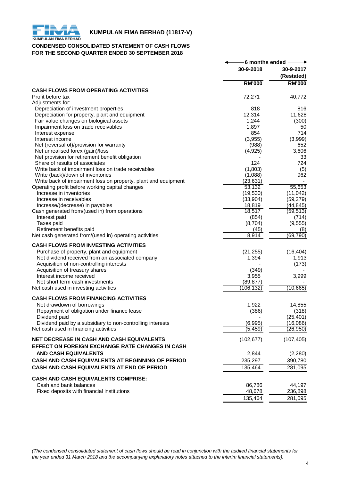

# **KUMPULAN FIMA BERHAD (11817-V)**<br>KUMPULAN FIMA BERHAD

# **CONDENSED CONSOLIDATED STATEMENT OF CASH FLOWS FOR THE SECOND QUARTER ENDED 30 SEPTEMBER 2018**

|                                                                | 6 months ended |                         |
|----------------------------------------------------------------|----------------|-------------------------|
|                                                                | 30-9-2018      | 30-9-2017<br>(Restated) |
|                                                                | <b>RM'000</b>  | <b>RM'000</b>           |
| <b>CASH FLOWS FROM OPERATING ACTIVITIES</b>                    |                |                         |
| Profit before tax<br>Adjustments for:                          | 72,271         | 40,772                  |
| Depreciation of investment properties                          | 818            | 816                     |
| Depreciation for property, plant and equipment                 | 12,314         | 11,628                  |
| Fair value changes on biological assets                        | 1,244          | (300)                   |
| Impairment loss on trade receivables                           | 1,897          | 50                      |
| Interest expense                                               | 854            | 714                     |
| Interest income                                                | (3,955)        | (3,999)                 |
| Net (reversal of)/provision for warranty                       | (988)          | 652                     |
| Net unrealised forex (gain)/loss                               | (4, 925)       | 3,606                   |
| Net provision for retirement benefit obligation                |                | 33                      |
| Share of results of associates                                 | 124            | 724                     |
| Write back of impairment loss on trade receivables             | (1,803)        | (5)                     |
| Write (back)/down of inventories                               | (1,088)        | 962                     |
| Write back of impairment loss on property, plant and equipment | (23, 631)      |                         |
| Operating profit before working capital changes                | 53,132         | 55,653                  |
| Increase in inventories                                        | (19,530)       | (11, 042)               |
| Increase in receivables                                        | (33,904)       | (59, 279)               |
| Increase/(decrease) in payables                                | 18,819         | (44, 845)               |
| Cash generated from/(used in) from operations                  | 18,517         | (59, 513)               |
| Interest paid                                                  | (854)          | (714)                   |
| Taxes paid                                                     | (8,704)        | (9, 555)                |
| Retirement benefits paid                                       | (45)           | (8)                     |
| Net cash generated from/(used in) operating activities         | 8,914          | (69, 790)               |
| <b>CASH FLOWS FROM INVESTING ACTIVITIES</b>                    |                |                         |
| Purchase of property, plant and equipment                      | (21, 255)      | (16, 404)               |
| Net dividend received from an associated company               | 1,394          | 1,913                   |
| Acquisition of non-controlling interests                       |                | (173)                   |
| Acquisition of treasury shares                                 | (349)          |                         |
| Interest income received                                       | 3,955          | 3,999                   |
| Net short term cash investments                                | (89, 877)      |                         |
| Net cash used in investing activities                          | (106, 132)     | (10, 665)               |
|                                                                |                |                         |
| <b>CASH FLOWS FROM FINANCING ACTIVITIES</b>                    |                |                         |
| Net drawdown of borrowings                                     | 1,922          | 14,855                  |
| Repayment of obligation under finance lease                    | (386)          | (318)                   |
| Dividend paid                                                  |                | (25, 401)               |
| Dividend paid by a subsidiary to non-controlling interests     | (6,995)        | (16,086)                |
| Net cash used in financing activities                          | (5, 459)       | (26, 950)               |
| NET DECREASE IN CASH AND CASH EQUIVALENTS                      | (102, 677)     | (107, 405)              |
| EFFECT ON FOREIGN EXCHANGE RATE CHANGES IN CASH                |                |                         |
| <b>AND CASH EQUIVALENTS</b>                                    | 2,844          | (2, 280)                |
| CASH AND CASH EQUIVALENTS AT BEGINNING OF PERIOD               | 235,297        | 390,780                 |
| CASH AND CASH EQUIVALENTS AT END OF PERIOD                     | 135,464        | 281,095                 |
|                                                                |                |                         |
| <b>CASH AND CASH EQUIVALENTS COMPRISE:</b>                     |                |                         |
| Cash and bank balances                                         | 86,786         | 44,197                  |
| Fixed deposits with financial institutions                     | 48,678         | 236,898                 |
|                                                                | 135,464        | 281,095                 |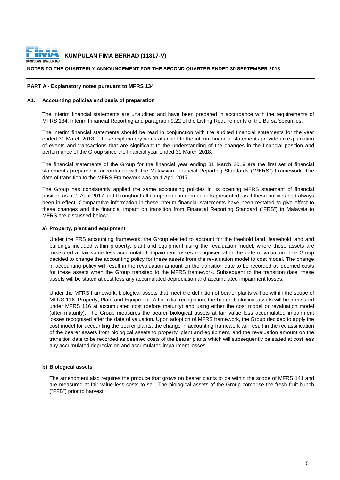

#### **NOTES TO THE QUARTERLY ANNOUNCEMENT FOR THE SECOND QUARTER ENDED 30 SEPTEMBER 2018**

#### **PART A - Explanatory notes pursuant to MFRS 134**

#### **A1. Accounting policies and basis of preparation**

The interim financial statements are unaudited and have been prepared in accordance with the requirements of MFRS 134: Interim Financial Reporting and paragraph 9.22 of the Listing Requirements of the Bursa Securities.

The interim financial statements should be read in conjunction with the audited financial statements for the year ended 31 March 2018. These explanatory notes attached to the interim financial statements provide an explanation of events and transactions that are significant to the understanding of the changes in the financial position and performance of the Group since the financial year ended 31 March 2018.

The financial statements of the Group for the financial year ending 31 March 2019 are the first set of financial statements prepared in accordance with the Malaysian Financial Reporting Standards ("MFRS") Framework. The date of transition to the MFRS Framework was on 1 April 2017.

The Group has consistently applied the same accounting policies in its opening MFRS statement of financial position as at 1 April 2017 and throughout all comparable interim periods presented, as if these policies had always been in effect. Comparative information in these interim financial statements have been restated to give effect to these changes and the financial impact on transition from Financial Reporting Standard ("FRS") in Malaysia to MFRS are discussed below:

#### **a) Property, plant and equipment**

Under the FRS accounting framework, the Group elected to account for the freehold land, leasehold land and buildings included within property, plant and equipment using the revaluation model, where these assets are measured at fair value less accumulated impairment losses recognised after the date of valuation. The Group decided to change the accounting policy for these assets from the revaluation model to cost model. The change in accounting policy will result in the revaluation amount on the transition date to be recorded as deemed costs for these assets when the Group transited to the MFRS framework. Subsequent to the transition date, these assets will be stated at cost less any accumulated depreciation and accumulated impairment losses.

Under the MFRS framework, biological assets that meet the definition of bearer plants will be within the scope of MFRS 116: Property, Plant and Equipment. After initial recognition, the bearer biological assets will be measured under MFRS 116 at accumulated cost (before maturity) and using either the cost model or revaluation model (after maturity). The Group measures the bearer biological assets at fair value less accumulated impairment losses recognised after the date of valuation. Upon adoption of MFRS framework, the Group decided to apply the cost model for accounting the bearer plants, the change in accounting framework will result in the reclassification of the bearer assets from biological assets to property, plant and equipment, and the revaluation amount on the transition date to be recorded as deemed costs of the bearer plants which will subsequently be stated at cost less any accumulated depreciation and accumulated impairment losses.

#### **b) Biological assets**

The amendment also requires the produce that grows on bearer plants to be within the scope of MFRS 141 and are measured at fair value less costs to sell. The biological assets of the Group comprise the fresh fruit bunch ("FFB") prior to harvest.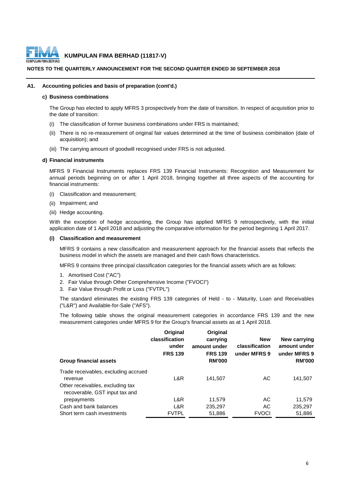

#### **NOTES TO THE QUARTERLY ANNOUNCEMENT FOR THE SECOND QUARTER ENDED 30 SEPTEMBER 2018**

#### **A1. Accounting policies and basis of preparation (cont'd.)**

#### **c) Business combinations**

The Group has elected to apply MFRS 3 prospectively from the date of transition. In respect of acquisition prior to the date of transition:

- (i) The classification of former business combinations under FRS is maintained;
- (ii) There is no re-measurement of original fair values determined at the time of business combination (date of acquisition); and
- (iii) The carrying amount of goodwill recognised under FRS is not adjusted.

#### **d) Financial instruments**

MFRS 9 Financial Instruments replaces FRS 139 Financial Instruments: Recognition and Measurement for annual periods beginning on or after 1 April 2018, bringing together all three aspects of the accounting for financial instruments:

- (i) Classification and measurement;
- (ii) Impairment; and
- (iii) Hedge accounting.

With the exception of hedge accounting, the Group has applied MFRS 9 retrospectively, with the initial application date of 1 April 2018 and adjusting the comparative information for the period beginning 1 April 2017.

#### **(i) Classification and measurement**

MFRS 9 contains a new classification and measurement approach for the financial assets that reflects the business model in which the assets are managed and their cash flows characteristics.

MFRS 9 contains three principal classification categories for the financial assets which are as follows:

- 1. Amortised Cost ("AC")
- 2. Fair Value through Other Comprehensive Income ("FVOCI")
- 3. Fair Value through Profit or Loss ("FVTPL")

The standard eliminates the existing FRS 139 categories of Held - to - Maturity, Loan and Receivables ("L&R") and Available-for-Sale ("AFS").

The following table shows the original measurement categories in accordance FRS 139 and the new measurement categories under MFRS 9 for the Group's financial assets as at 1 April 2018.

| <b>Group financial assets</b>                                      | Original<br>classification<br>under<br><b>FRS 139</b> | Original<br>carrying<br>amount under<br><b>FRS 139</b><br><b>RM'000</b> | <b>New</b><br>classification<br>under MFRS 9 | New carrying<br>amount under<br>under MFRS 9<br><b>RM'000</b> |
|--------------------------------------------------------------------|-------------------------------------------------------|-------------------------------------------------------------------------|----------------------------------------------|---------------------------------------------------------------|
| Trade receivables, excluding accrued                               |                                                       |                                                                         |                                              |                                                               |
| revenue                                                            | L&R                                                   | 141.507                                                                 | AC                                           | 141,507                                                       |
| Other receivables, excluding tax<br>recoverable, GST input tax and |                                                       |                                                                         |                                              |                                                               |
| prepayments                                                        | L&R                                                   | 11.579                                                                  | AC                                           | 11,579                                                        |
| Cash and bank balances                                             | L&R                                                   | 235,297                                                                 | AC                                           | 235,297                                                       |
| Short term cash investments                                        | <b>FVTPL</b>                                          | 51,886                                                                  | <b>FVOCI</b>                                 | 51,886                                                        |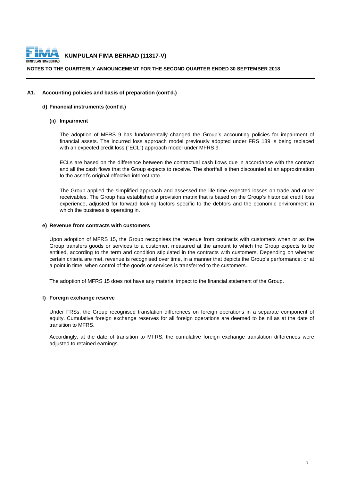

#### **NOTES TO THE QUARTERLY ANNOUNCEMENT FOR THE SECOND QUARTER ENDED 30 SEPTEMBER 2018**

#### **A1. Accounting policies and basis of preparation (cont'd.)**

#### **d) Financial instruments (cont'd.)**

#### **(ii) Impairment**

The adoption of MFRS 9 has fundamentally changed the Group's accounting policies for impairment of financial assets. The incurred loss approach model previously adopted under FRS 139 is being replaced with an expected credit loss ("ECL") approach model under MFRS 9.

ECLs are based on the difference between the contractual cash flows due in accordance with the contract and all the cash flows that the Group expects to receive. The shortfall is then discounted at an approximation to the asset's original effective interest rate.

The Group applied the simplified approach and assessed the life time expected losses on trade and other receivables. The Group has established a provision matrix that is based on the Group's historical credit loss experience, adjusted for forward looking factors specific to the debtors and the economic environment in which the business is operating in.

#### **e) Revenue from contracts with customers**

Upon adoption of MFRS 15, the Group recognises the revenue from contracts with customers when or as the Group transfers goods or services to a customer, measured at the amount to which the Group expects to be entitled, according to the term and condition stipulated in the contracts with customers. Depending on whether certain criteria are met, revenue is recognised over time, in a manner that depicts the Group's performance; or at a point in time, when control of the goods or services is transferred to the customers.

The adoption of MFRS 15 does not have any material impact to the financial statement of the Group.

#### **f) Foreign exchange reserve**

Under FRSs, the Group recognised translation differences on foreign operations in a separate component of equity. Cumulative foreign exchange reserves for all foreign operations are deemed to be nil as at the date of transition to MFRS.

Accordingly, at the date of transition to MFRS, the cumulative foreign exchange translation differences were adjusted to retained earnings.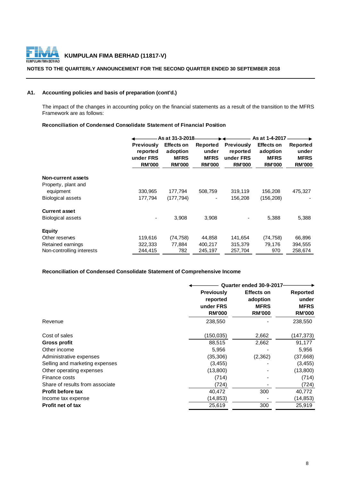

#### **NOTES TO THE QUARTERLY ANNOUNCEMENT FOR THE SECOND QUARTER ENDED 30 SEPTEMBER 2018**

# **A1. Accounting policies and basis of preparation (cont'd.)**

The impact of the changes in accounting policy on the financial statements as a result of the transition to the MFRS Framework are as follows:

#### **Reconciliation of Condensed Consolidate Statement of Financial Position**

|                           |                                                             | As at 31-3-2018-                                              |                                                   |                                                             | As at 1-4-2017                                                |                                                   |
|---------------------------|-------------------------------------------------------------|---------------------------------------------------------------|---------------------------------------------------|-------------------------------------------------------------|---------------------------------------------------------------|---------------------------------------------------|
|                           | <b>Previously</b><br>reported<br>under FRS<br><b>RM'000</b> | <b>Effects on</b><br>adoption<br><b>MFRS</b><br><b>RM'000</b> | Reported<br>under<br><b>MFRS</b><br><b>RM'000</b> | <b>Previously</b><br>reported<br>under FRS<br><b>RM'000</b> | <b>Effects on</b><br>adoption<br><b>MFRS</b><br><b>RM'000</b> | Reported<br>under<br><b>MFRS</b><br><b>RM'000</b> |
| <b>Non-current assets</b> |                                                             |                                                               |                                                   |                                                             |                                                               |                                                   |
| Property, plant and       |                                                             |                                                               |                                                   |                                                             |                                                               |                                                   |
| equipment                 | 330,965                                                     | 177,794                                                       | 508,759                                           | 319,119                                                     | 156,208                                                       | 475,327                                           |
| <b>Biological assets</b>  | 177.794                                                     | (177, 794)                                                    | $\qquad \qquad \blacksquare$                      | 156,208                                                     | (156, 208)                                                    |                                                   |
| <b>Current asset</b>      |                                                             |                                                               |                                                   |                                                             |                                                               |                                                   |
| <b>Biological assets</b>  |                                                             | 3,908                                                         | 3,908                                             |                                                             | 5,388                                                         | 5,388                                             |
| <b>Equity</b>             |                                                             |                                                               |                                                   |                                                             |                                                               |                                                   |
| Other reserves            | 119,616                                                     | (74, 758)                                                     | 44,858                                            | 141,654                                                     | (74, 758)                                                     | 66,896                                            |
| Retained earnings         | 322,333                                                     | 77.884                                                        | 400,217                                           | 315,379                                                     | 79,176                                                        | 394,555                                           |
| Non-controlling interests | 244,415                                                     | 782                                                           | 245,197                                           | 257,704                                                     | 970                                                           | 258,674                                           |

### **Reconciliation of Condensed Consolidate Statement of Comprehensive Income**

|                                 |                   | Quarter ended 30-9-2017 |                 |  |  |
|---------------------------------|-------------------|-------------------------|-----------------|--|--|
|                                 | <b>Previously</b> | <b>Effects on</b>       | <b>Reported</b> |  |  |
|                                 | reported          | adoption                | under           |  |  |
|                                 | under FRS         | <b>MFRS</b>             | <b>MFRS</b>     |  |  |
|                                 | <b>RM'000</b>     | <b>RM'000</b>           | <b>RM'000</b>   |  |  |
| Revenue                         | 238,550           |                         | 238,550         |  |  |
| Cost of sales                   | (150,035)         | 2,662                   | (147, 373)      |  |  |
| Gross profit                    | 88,515            | 2,662                   | 91,177          |  |  |
| Other income                    | 5,956             |                         | 5,956           |  |  |
| Administrative expenses         | (35, 306)         | (2, 362)                | (37,668)        |  |  |
| Selling and marketing expenses  | (3, 455)          |                         | (3, 455)        |  |  |
| Other operating expenses        | (13,800)          |                         | (13,800)        |  |  |
| Finance costs                   | (714)             |                         | (714)           |  |  |
| Share of results from associate | (724)             |                         | (724)           |  |  |
| <b>Profit before tax</b>        | 40,472            | 300                     | 40,772          |  |  |
| Income tax expense              | (14, 853)         |                         | (14, 853)       |  |  |
| <b>Profit net of tax</b>        | 25,619            | 300                     | 25,919          |  |  |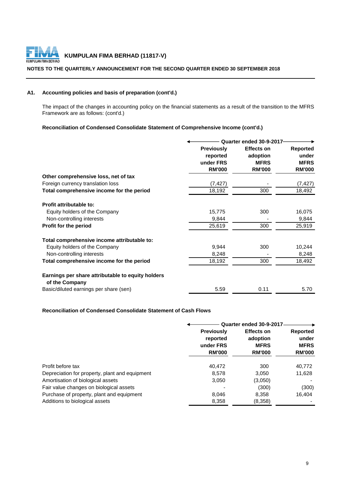

#### **NOTES TO THE QUARTERLY ANNOUNCEMENT FOR THE SECOND QUARTER ENDED 30 SEPTEMBER 2018**

# **A1. Accounting policies and basis of preparation (cont'd.)**

The impact of the changes in accounting policy on the financial statements as a result of the transition to the MFRS Framework are as follows: (cont'd.)

# **Reconciliation of Condensed Consolidate Statement of Comprehensive Income (cont'd.)**

|                                                                     | Quarter ended 30-9-2017 |                   |                 |  |
|---------------------------------------------------------------------|-------------------------|-------------------|-----------------|--|
|                                                                     | <b>Previously</b>       | <b>Effects on</b> | <b>Reported</b> |  |
|                                                                     | reported                | adoption          | under           |  |
|                                                                     | under FRS               | <b>MFRS</b>       | <b>MFRS</b>     |  |
|                                                                     | <b>RM'000</b>           | <b>RM'000</b>     | <b>RM'000</b>   |  |
| Other comprehensive loss, net of tax                                |                         |                   |                 |  |
| Foreign currency translation loss                                   | (7, 427)                |                   | (7, 427)        |  |
| Total comprehensive income for the period                           | 18,192                  | 300               | 18,492          |  |
| Profit attributable to:                                             |                         |                   |                 |  |
| Equity holders of the Company                                       | 15,775                  | 300               | 16,075          |  |
| Non-controlling interests                                           | 9,844                   |                   | 9,844           |  |
| Profit for the period                                               | 25,619                  | 300               | 25,919          |  |
| Total comprehensive income attributable to:                         |                         |                   |                 |  |
| Equity holders of the Company                                       | 9,944                   | 300               | 10,244          |  |
| Non-controlling interests                                           | 8,248                   |                   | 8,248           |  |
| Total comprehensive income for the period                           | 18,192                  | 300               | 18,492          |  |
| Earnings per share attributable to equity holders<br>of the Company |                         |                   |                 |  |
| Basic/diluted earnings per share (sen)                              | 5.59                    | 0.11              | 5.70            |  |

#### **Reconciliation of Condensed Consolidate Statement of Cash Flows**

|                                                |                                                             | Quarter ended 30-9-2017                                       |                                                          |
|------------------------------------------------|-------------------------------------------------------------|---------------------------------------------------------------|----------------------------------------------------------|
|                                                | <b>Previously</b><br>reported<br>under FRS<br><b>RM'000</b> | <b>Effects on</b><br>adoption<br><b>MFRS</b><br><b>RM'000</b> | <b>Reported</b><br>under<br><b>MFRS</b><br><b>RM'000</b> |
| Profit before tax                              | 40,472                                                      | 300                                                           | 40,772                                                   |
| Depreciation for property, plant and equipment | 8,578                                                       | 3,050                                                         | 11,628                                                   |
| Amortisation of biological assets              | 3,050                                                       | (3,050)                                                       |                                                          |
| Fair value changes on biological assets        |                                                             | (300)                                                         | (300)                                                    |
| Purchase of property, plant and equipment      | 8,046                                                       | 8,358                                                         | 16,404                                                   |
| Additions to biological assets                 | 8,358                                                       | (8,358)                                                       |                                                          |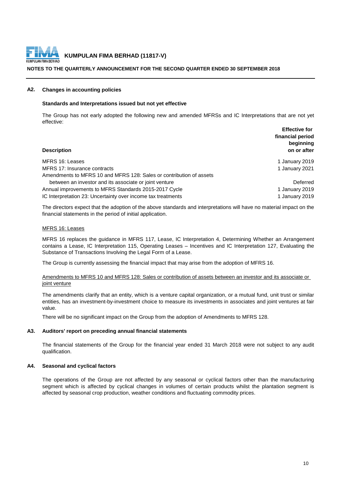

#### **NOTES TO THE QUARTERLY ANNOUNCEMENT FOR THE SECOND QUARTER ENDED 30 SEPTEMBER 2018**

#### **A2. Changes in accounting policies**

#### **Standards and Interpretations issued but not yet effective**

The Group has not early adopted the following new and amended MFRSs and IC Interpretations that are not yet effective:

| <b>Effective for</b><br>financial period<br>beginning<br>on or after |
|----------------------------------------------------------------------|
| 1 January 2019                                                       |
| 1 January 2021                                                       |
|                                                                      |
| Deferred                                                             |
| 1 January 2019                                                       |
| 1 January 2019                                                       |
|                                                                      |

The directors expect that the adoption of the above standards and interpretations will have no material impact on the financial statements in the period of initial application.

#### MFRS 16: Leases

MFRS 16 replaces the guidance in MFRS 117, Lease, IC Interpretation 4, Determining Whether an Arrangement contains a Lease, IC Interpretation 115, Operating Leases – Incentives and IC Interpretation 127, Evaluating the Substance of Transactions Involving the Legal Form of a Lease.

The Group is currently assessing the financial impact that may arise from the adoption of MFRS 16.

#### Amendments to MFRS 10 and MFRS 128: Sales or contribution of assets between an investor and its associate or joint venture

The amendments clarify that an entity, which is a venture capital organization, or a mutual fund, unit trust or similar entities, has an investment-by-investment choice to measure its investments in associates and joint ventures at fair value.

There will be no significant impact on the Group from the adoption of Amendments to MFRS 128.

#### **A3. Auditors' report on preceding annual financial statements**

The financial statements of the Group for the financial year ended 31 March 2018 were not subject to any audit qualification.

#### **A4. Seasonal and cyclical factors**

The operations of the Group are not affected by any seasonal or cyclical factors other than the manufacturing segment which is affected by cyclical changes in volumes of certain products whilst the plantation segment is affected by seasonal crop production, weather conditions and fluctuating commodity prices.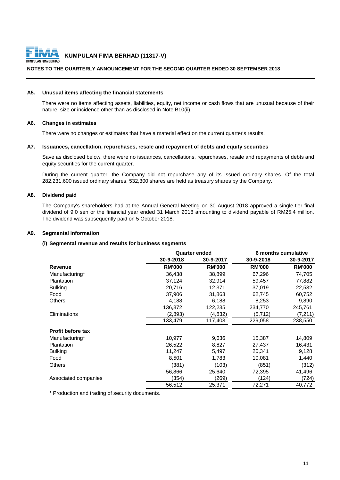

#### **NOTES TO THE QUARTERLY ANNOUNCEMENT FOR THE SECOND QUARTER ENDED 30 SEPTEMBER 2018**

#### **A5. Unusual items affecting the financial statements**

There were no items affecting assets, liabilities, equity, net income or cash flows that are unusual because of their nature, size or incidence other than as disclosed in Note B10(ii).

#### **A6. Changes in estimates**

There were no changes or estimates that have a material effect on the current quarter's results.

#### **A7. Issuances, cancellation, repurchases, resale and repayment of debts and equity securities**

Save as disclosed below, there were no issuances, cancellations, repurchases, resale and repayments of debts and equity securities for the current quarter.

During the current quarter, the Company did not repurchase any of its issued ordinary shares. Of the total 282,231,600 issued ordinary shares, 532,300 shares are held as treasury shares by the Company.

#### **A8. Dividend paid**

The Company's shareholders had at the Annual General Meeting on 30 August 2018 approved a single-tier final dividend of 9.0 sen or the financial year ended 31 March 2018 amounting to dividend payable of RM25.4 million. The dividend was subsequently paid on 5 October 2018.

#### **A9. Segmental information**

#### **(i) Segmental revenue and results for business segments**

|                          |               | <b>Quarter ended</b> | 6 months cumulative |               |  |
|--------------------------|---------------|----------------------|---------------------|---------------|--|
|                          | 30-9-2018     | 30-9-2017            | 30-9-2018           | 30-9-2017     |  |
| <b>Revenue</b>           | <b>RM'000</b> | <b>RM'000</b>        | <b>RM'000</b>       | <b>RM'000</b> |  |
| Manufacturing*           | 36,438        | 38,899               | 67,296              | 74,705        |  |
| Plantation               | 37,124        | 32,914               | 59,457              | 77,882        |  |
| <b>Bulking</b>           | 20,716        | 12,371               | 37,019              | 22,532        |  |
| Food                     | 37,906        | 31,863               | 62,745              | 60,752        |  |
| Others                   | 4,188         | 6,188                | 8,253               | 9,890         |  |
|                          | 136,372       | 122,235              | 234,770             | 245,761       |  |
| Eliminations             | (2,893)       | (4,832)              | (5,712)             | (7, 211)      |  |
|                          | 133,479       | 117,403              | 229,058             | 238,550       |  |
| <b>Profit before tax</b> |               |                      |                     |               |  |
| Manufacturing*           | 10,977        | 9,636                | 15,387              | 14,809        |  |
| <b>Plantation</b>        | 26,522        | 8,827                | 27,437              | 16,431        |  |
| <b>Bulking</b>           | 11,247        | 5,497                | 20,341              | 9,128         |  |
| Food                     | 8,501         | 1,783                | 10,081              | 1,440         |  |
| Others                   | (381)         | (103)                | (851)               | (312)         |  |
|                          | 56,866        | 25,640               | 72,395              | 41,496        |  |
| Associated companies     | (354)         | (269)                | (124)               | (724)         |  |
|                          | 56,512        | 25,371               | 72,271              | 40,772        |  |

\* Production and trading of security documents.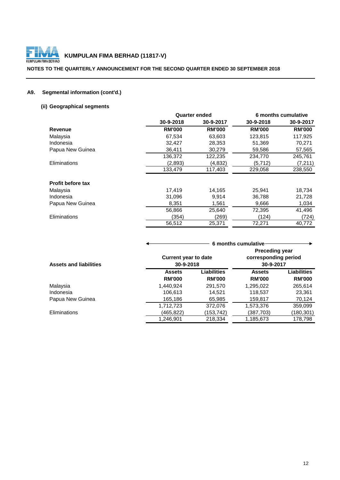

### **NOTES TO THE QUARTERLY ANNOUNCEMENT FOR THE SECOND QUARTER ENDED 30 SEPTEMBER 2018**

# **A9. Segmental information (cont'd.)**

# **(ii) Geographical segments**

|                          |               | <b>Quarter ended</b> |               | 6 months cumulative |
|--------------------------|---------------|----------------------|---------------|---------------------|
|                          | 30-9-2018     | 30-9-2017            | 30-9-2018     | 30-9-2017           |
| <b>Revenue</b>           | <b>RM'000</b> | <b>RM'000</b>        | <b>RM'000</b> | <b>RM'000</b>       |
| Malaysia                 | 67,534        | 63,603               | 123,815       | 117,925             |
| Indonesia                | 32,427        | 28,353               | 51,369        | 70,271              |
| Papua New Guinea         | 36,411        | 30,279               | 59,586        | 57,565              |
|                          | 136,372       | 122,235              | 234,770       | 245,761             |
| Eliminations             | (2,893)       | (4,832)              | (5,712)       | (7, 211)            |
|                          | 133,479       | 117,403              | 229,058       | 238,550             |
| <b>Profit before tax</b> |               |                      |               |                     |
| Malaysia                 | 17,419        | 14,165               | 25,941        | 18,734              |
| Indonesia                | 31,096        | 9,914                | 36,788        | 21,728              |
| Papua New Guinea         | 8,351         | 1,561                | 9,666         | 1,034               |
|                          | 56,866        | 25,640               | 72,395        | 41,496              |
| Eliminations             | (354)         | (269)                | (124)         | (724)               |
|                          | 56,512        | 25,371               | 72,271        | 40,772              |

|                               |                                          |                              | 6 months cumulative                                        |                              |
|-------------------------------|------------------------------------------|------------------------------|------------------------------------------------------------|------------------------------|
| <b>Assets and liabilities</b> | <b>Current year to date</b><br>30-9-2018 |                              | <b>Preceding year</b><br>corresponding period<br>30-9-2017 |                              |
|                               | <b>Assets</b><br><b>RM'000</b>           | Liabilities<br><b>RM'000</b> | <b>Assets</b><br><b>RM'000</b>                             | Liabilities<br><b>RM'000</b> |
| Malaysia                      | 1,440,924                                | 291,570                      | 1,295,022                                                  | 265,614                      |
| Indonesia                     | 106,613                                  | 14.521                       | 118,537                                                    | 23,361                       |
| Papua New Guinea              | 165,186                                  | 65,985                       | 159,817                                                    | 70,124                       |
|                               | 1,712,723                                | 372,076                      | 1,573,376                                                  | 359,099                      |
| <b>Eliminations</b>           | (465,822)                                | (153,742)                    | (387,703)                                                  | (180, 301)                   |
|                               | 1,246,901                                | 218,334                      | 1,185,673                                                  | 178,798                      |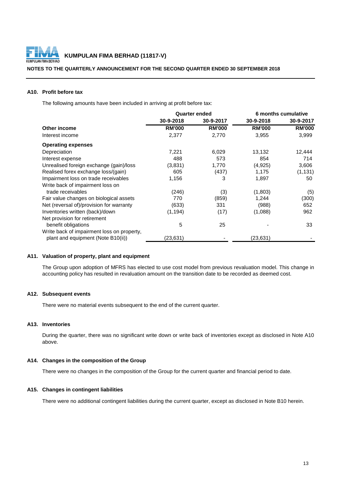

#### **NOTES TO THE QUARTERLY ANNOUNCEMENT FOR THE SECOND QUARTER ENDED 30 SEPTEMBER 2018**

### **A10. Profit before tax**

The following amounts have been included in arriving at profit before tax:

|                                            | <b>Quarter ended</b> |               | 6 months cumulative |               |
|--------------------------------------------|----------------------|---------------|---------------------|---------------|
|                                            | 30-9-2018            | 30-9-2017     | 30-9-2018           | 30-9-2017     |
| Other income                               | <b>RM'000</b>        | <b>RM'000</b> | <b>RM'000</b>       | <b>RM'000</b> |
| Interest income                            | 2,377                | 2,770         | 3,955               | 3,999         |
| <b>Operating expenses</b>                  |                      |               |                     |               |
| Depreciation                               | 7,221                | 6,029         | 13,132              | 12,444        |
| Interest expense                           | 488                  | 573           | 854                 | 714           |
| Unrealised foreign exchange (gain)/loss    | (3,831)              | 1,770         | (4,925)             | 3,606         |
| Realised forex exchange loss/(gain)        | 605                  | (437)         | 1,175               | (1, 131)      |
| Impairment loss on trade receivables       | 1,156                | 3             | 1,897               | 50            |
| Write back of impairment loss on           |                      |               |                     |               |
| trade receivables                          | (246)                | (3)           | (1,803)             | (5)           |
| Fair value changes on biological assets    | 770                  | (859)         | 1,244               | (300)         |
| Net (reversal of)/provision for warranty   | (633)                | 331           | (988)               | 652           |
| Inventories written (back)/down            | (1, 194)             | (17)          | (1,088)             | 962           |
| Net provision for retirement               |                      |               |                     |               |
| benefit obligations                        | 5                    | 25            |                     | 33            |
| Write back of impairment loss on property, |                      |               |                     |               |
| plant and equipment (Note B10(ii))         | (23,631)             |               | (23, 631)           |               |

#### **A11. Valuation of property, plant and equipment**

The Group upon adoption of MFRS has elected to use cost model from previous revaluation model. This change in accounting policy has resulted in revaluation amount on the transition date to be recorded as deemed cost.

#### **A12. Subsequent events**

There were no material events subsequent to the end of the current quarter.

# **A13. Inventories**

During the quarter, there was no significant write down or write back of inventories except as disclosed in Note A10 above.

#### **A14. Changes in the composition of the Group**

There were no changes in the composition of the Group for the current quarter and financial period to date.

#### **A15. Changes in contingent liabilities**

There were no additional contingent liabilities during the current quarter, except as disclosed in Note B10 herein.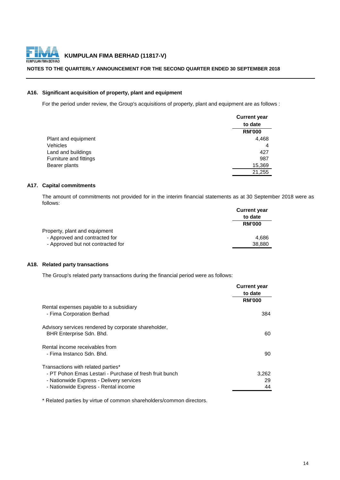

#### **NOTES TO THE QUARTERLY ANNOUNCEMENT FOR THE SECOND QUARTER ENDED 30 SEPTEMBER 2018**

### **A16. Significant acquisition of property, plant and equipment**

For the period under review, the Group's acquisitions of property, plant and equipment are as follows :

|                        | <b>Current year</b> |
|------------------------|---------------------|
|                        | to date             |
|                        | <b>RM'000</b>       |
| Plant and equipment    | 4,468               |
| Vehicles               | 4                   |
| Land and buildings     | 427                 |
| Furniture and fittings | 987                 |
| Bearer plants          | 15,369              |
|                        | 21,255              |

# **A17. Capital commitments**

The amount of commitments not provided for in the interim financial statements as at 30 September 2018 were as follows:

|                                   | <b>Current year</b> |
|-----------------------------------|---------------------|
|                                   | to date             |
|                                   | <b>RM'000</b>       |
| Property, plant and equipment     |                     |
| - Approved and contracted for     | 4.686               |
| - Approved but not contracted for | 38,880              |

#### **A18. Related party transactions**

The Group's related party transactions during the financial period were as follows:

|                                                                                  | <b>Current year</b><br>to date |
|----------------------------------------------------------------------------------|--------------------------------|
|                                                                                  | <b>RM'000</b>                  |
| Rental expenses payable to a subsidiary<br>- Fima Corporation Berhad             | 384                            |
| Advisory services rendered by corporate shareholder,<br>BHR Enterprise Sdn. Bhd. | 60                             |
| Rental income receivables from                                                   |                                |
| - Fima Instanco Sdn. Bhd.                                                        | 90                             |
| Transactions with related parties*                                               |                                |
| - PT Pohon Emas Lestari - Purchase of fresh fruit bunch                          | 3,262                          |
| - Nationwide Express - Delivery services                                         | 29                             |
| - Nationwide Express - Rental income                                             | 44                             |

\* Related parties by virtue of common shareholders/common directors.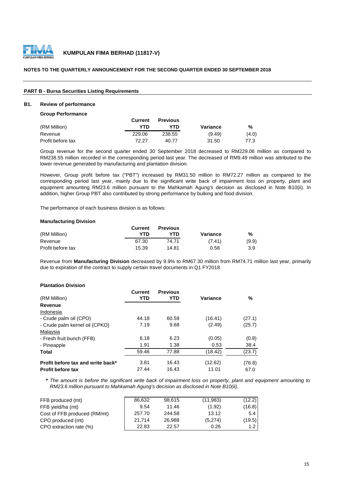

#### **NOTES TO THE QUARTERLY ANNOUNCEMENT FOR THE SECOND QUARTER ENDED 30 SEPTEMBER 2018**

#### **PART B - Bursa Securities Listing Requirements**

#### **B1. Review of performance**

**Group Performance**

|                   | Current | <b>Previous</b> |          |       |
|-------------------|---------|-----------------|----------|-------|
| (RM Million)      | YTD     | YTD             | Variance | %     |
| Revenue           | 229.06  | 238.55          | (9.49)   | (4.0) |
| Profit before tax | 72 27   | 40.77           | 31.50    | 77.3  |

Group revenue for the second quarter ended 30 September 2018 decreased to RM229.06 million as compared to RM238.55 million recorded in the corresponding period last year. The decreased of RM9.49 million was attributed to the lower revenue generated by manufacturing and plantation division.

However, Group profit before tax ("PBT") increased by RM31.50 million to RM72.27 million as compared to the corresponding period last year, mainly due to the significant write back of impairment loss on property, plant and equipment amounting RM23.6 million pursuant to the Mahkamah Agung's decision as disclosed in Note B10(ii). In addition, higher Group PBT also contributed by strong performance by bulking and food division.

The performance of each business division is as follows:

#### **Manufacturing Division**

|                   | Current | <b>Previous</b> |          |       |
|-------------------|---------|-----------------|----------|-------|
| (RM Million)      | YTN     | YTD             | Variance | %     |
| Revenue           | 67.30   | 74.71           | (7.41)   | (9.9) |
| Profit before tax | 15.39   | 14.81           | 0.58     | 3.9   |

Revenue from **Manufacturing Division** decreased by 9.9% to RM67.30 million from RM74.71 million last year, primarily due to expiration of the contract to supply certain travel documents in Q1 FY2018.

#### **Plantation Division**

| (RM Million)                      | <b>Current</b><br><b>YTD</b> | <b>Previous</b><br>YTD | Variance | %      |
|-----------------------------------|------------------------------|------------------------|----------|--------|
| Revenue                           |                              |                        |          |        |
| Indonesia                         |                              |                        |          |        |
| - Crude palm oil (CPO)            | 44.18                        | 60.59                  | (16.41)  | (27.1) |
| - Crude palm kernel oil (CPKO)    | 7.19                         | 9.68                   | (2.49)   | (25.7) |
| Malaysia                          |                              |                        |          |        |
| - Fresh fruit bunch (FFB)         | 6.18                         | 6.23                   | (0.05)   | (0.8)  |
| - Pineapple                       | 1.91                         | 1.38                   | 0.53     | 38.4   |
| Total                             | 59.46                        | 77.88                  | (18.42)  | (23.7) |
| Profit before tax and write back* | 3.81                         | 16.43                  | (12.62)  | (76.8) |
| <b>Profit before tax</b>          | 27.44                        | 16.43                  | 11.01    | 67.0   |

\* The amount is before the significant write back of impairment loss on property, plant and equipment amounting to *RM23.6 million pursuant to Mahkamah Agung's decision as disclosed in Note B10(ii).*

| FFB produced (mt)            | 86.632 | 98.615 | (11,983) | (12.2) |
|------------------------------|--------|--------|----------|--------|
| FFB yield/ha (mt)            | 9.54   | 11.46  | (1.92)   | (16.8) |
| Cost of FFB produced (RM/mt) | 257.70 | 244.58 | 13.12    | 5.4    |
| CPO produced (mt)            | 21.714 | 26.988 | (5,274)  | (19.5) |
| CPO extraction rate (%)      | 22.83  | 22.57  | 0.26     | 1.2    |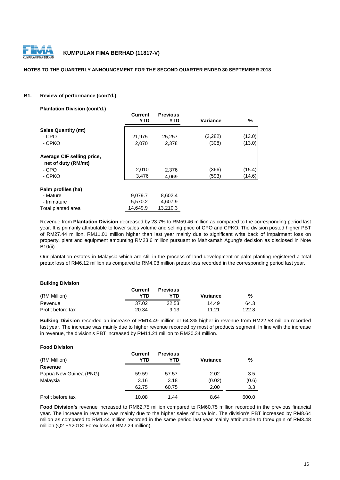

#### **NOTES TO THE QUARTERLY ANNOUNCEMENT FOR THE SECOND QUARTER ENDED 30 SEPTEMBER 2018**

#### **B1. Review of performance (cont'd.)**

**Plantation Division (cont'd.)**

|                            | <b>Current</b><br><b>YTD</b> | <b>Previous</b><br>YTD | <b>Variance</b> | %      |
|----------------------------|------------------------------|------------------------|-----------------|--------|
| <b>Sales Quantity (mt)</b> |                              |                        |                 |        |
| - CPO                      | 21,975                       | 25,257                 | (3,282)         | (13.0) |
| - CPKO                     | 2,070                        | 2,378                  | (308)           | (13.0) |
| Average CIF selling price, |                              |                        |                 |        |
| net of duty (RM/mt)        |                              |                        |                 |        |
| - CPO                      | 2,010                        | 2,376                  | (366)           | (15.4) |
| - CPKO                     | 3,476                        | 4,069                  | (593)           | (14.6) |
| Palm profiles (ha)         |                              |                        |                 |        |
| - Mature                   | 9,079.7                      | 8,602.4                |                 |        |
| - Immature                 | 5,570.2                      | 4,607.9                |                 |        |
| Total planted area         | 14.649.9                     | 13.210.3               |                 |        |

Revenue from **Plantation Division** decreased by 23.7% to RM59.46 million as compared to the corresponding period last year. It is primarily attributable to lower sales volume and selling price of CPO and CPKO. The division posted higher PBT of RM27.44 million, RM11.01 million higher than last year mainly due to significant write back of impairment loss on property, plant and equipment amounting RM23.6 million pursuant to Mahkamah Agung's decision as disclosed in Note B10(ii).

Our plantation estates in Malaysia which are still in the process of land development or palm planting registered a total pretax loss of RM6.12 million as compared to RM4.08 million pretax loss recorded in the corresponding period last year.

#### **Bulking Division**

|                   | Current | <b>Previous</b> |          |       |
|-------------------|---------|-----------------|----------|-------|
| (RM Million)      | YTD     | YTD.            | Variance | %     |
| Revenue           | 37.02   | 22.53           | 14.49    | 64.3  |
| Profit before tax | 20.34   | 9.13            | 11.21    | 122.8 |

**Bulking Division** recorded an increase of RM14.49 million or 64.3% higher in revenue from RM22.53 million recorded last year. The increase was mainly due to higher revenue recorded by most of products segment. In line with the increase in revenue, the division's PBT increased by RM11.21 million to RM20.34 million.

#### **Food Division**

| (RM Million)           | Current<br>YTD | <b>Previous</b><br>YTD | Variance | %     |
|------------------------|----------------|------------------------|----------|-------|
| Revenue                |                |                        |          |       |
| Papua New Guinea (PNG) | 59.59          | 57.57                  | 2.02     | 3.5   |
| Malaysia               | 3.16           | 3.18                   | (0.02)   | (0.6) |
|                        | 62.75          | 60.75                  | 2.00     | 3.3   |
| Profit before tax      | 10.08          | 1.44                   | 8.64     | 600.0 |

**Food Division's** revenue increased to RM62.75 million compared to RM60.75 million recorded in the previous financial year. The increase in revenue was mainly due to the higher sales of tuna loin. The division's PBT increased by RM8.64 milion as compared to RM1.44 million recorded in the same period last year mainly attributable to forex gain of RM3.48 million (Q2 FY2018: Forex loss of RM2.29 million).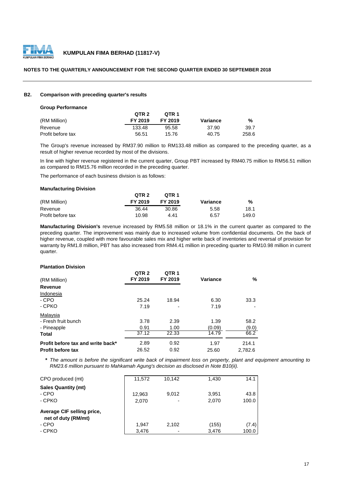

#### **NOTES TO THE QUARTERLY ANNOUNCEMENT FOR THE SECOND QUARTER ENDED 30 SEPTEMBER 2018**

#### **B2. Comparison with preceding quarter's results**

#### **Group Performance**

|                   | QTR 2   | OTR 1   |          |       |
|-------------------|---------|---------|----------|-------|
| (RM Million)      | FY 2019 | FY 2019 | Variance | %     |
| Revenue           | 133.48  | 95.58   | 37.90    | 39.7  |
| Profit before tax | 56.51   | 15.76   | 40.75    | 258.6 |

The Group's revenue increased by RM37.90 million to RM133.48 million as compared to the preceding quarter, as a result of higher revenue recorded by most of the divisions.

In line with higher revenue registered in the current quarter, Group PBT increased by RM40.75 million to RM56.51 million as compared to RM15.76 million recorded in the preceding quarter.

The performance of each business division is as follows:

#### **Manufacturing Division**

|                   | QTR <sub>2</sub> | OTR 1   |          |       |
|-------------------|------------------|---------|----------|-------|
| (RM Million)      | FY 2019          | FY 2019 | Variance | %     |
| Revenue           | 36.44            | 30.86   | 5.58     | 18.1  |
| Profit before tax | 10.98            | 4.41    | 6.57     | 149.0 |

**Manufacturing Division's** revenue increased by RM5.58 million or 18.1% in the current quarter as compared to the preceding quarter. The improvement was mainly due to increased volume from confidential documents. On the back of higher revenue, coupled with more favourable sales mix and higher write back of inventories and reversal of provision for warranty by RM1.8 million, PBT has also increased from RM4.41 million in preceding quarter to RM10.98 million in current quarter.

#### **Plantation Division**

| (RM Million)                      | QTR <sub>2</sub><br>FY 2019 | QTR <sub>1</sub><br>FY 2019 | Variance | %       |
|-----------------------------------|-----------------------------|-----------------------------|----------|---------|
| Revenue                           |                             |                             |          |         |
| Indonesia                         |                             |                             |          |         |
| - CPO                             | 25.24                       | 18.94                       | 6.30     | 33.3    |
| - CPKO                            | 7.19                        | ٠                           | 7.19     |         |
| Malaysia                          |                             |                             |          |         |
| - Fresh fruit bunch               | 3.78                        | 2.39                        | 1.39     | 58.2    |
| - Pineapple                       | 0.91                        | 1.00                        | (0.09)   | (9.0)   |
| Total                             | 37.12                       | 22.33                       | 14.79    | 66.2    |
| Profit before tax and write back* | 2.89                        | 0.92                        | 1.97     | 214.1   |
| <b>Profit before tax</b>          | 26.52                       | 0.92                        | 25.60    | 2.782.6 |

\* The amount is before the significant write back of impairment loss on property, plant and equipment amounting to *RM23.6 million pursuant to Mahkamah Agung's decision as disclosed in Note B10(ii).*

| CPO produced (mt)                                                    | 11.572          | 10.142 | 1,430          | 14.1           |
|----------------------------------------------------------------------|-----------------|--------|----------------|----------------|
| <b>Sales Quantity (mt)</b><br>- CPO<br>- CPKO                        | 12,963<br>2,070 | 9.012  | 3.951<br>2.070 | 43.8<br>100.0  |
| Average CIF selling price,<br>net of duty (RM/mt)<br>- CPO<br>- CPKO | 1.947<br>3,476  | 2.102  | (155)<br>3,476 | (7.4)<br>100.0 |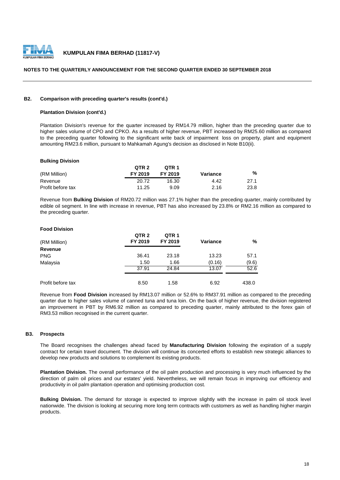

#### **NOTES TO THE QUARTERLY ANNOUNCEMENT FOR THE SECOND QUARTER ENDED 30 SEPTEMBER 2018**

#### **B2. Comparison with preceding quarter's results (cont'd.)**

#### **Plantation Division (cont'd.)**

Plantation Division's revenue for the quarter increased by RM14.79 million, higher than the preceding quarter due to higher sales volume of CPO and CPKO. As a results of higher revenue, PBT increased by RM25.60 million as compared to the preceding quarter following to the significant write back of impairment loss on property, plant and equipment amounting RM23.6 million, pursuant to Mahkamah Agung's decision as disclosed in Note B10(ii).

#### **Bulking Division**

|                   | QTR <sub>2</sub> | OTR <sub>1</sub> |          |      |
|-------------------|------------------|------------------|----------|------|
| (RM Million)      | FY 2019          | FY 2019          | Variance | %    |
| Revenue           | 20.72            | 16.30            | 4.42     | 27.1 |
| Profit before tax | 11.25            | 9.09             | 2.16     | 23.8 |

Revenue from **Bulking Division** of RM20.72 million was 27.1% higher than the preceding quarter, mainly contributed by edible oil segment. In line with increase in revenue, PBT has also increased by 23.8% or RM2.16 million as compared to the preceding quarter.

#### **Food Division**

| (RM Million)      | QTR <sub>2</sub><br>FY 2019 | QTR <sub>1</sub><br>FY 2019 | <b>Variance</b> | %     |
|-------------------|-----------------------------|-----------------------------|-----------------|-------|
| Revenue           |                             |                             |                 |       |
| <b>PNG</b>        | 36.41                       | 23.18                       | 13.23           | 57.1  |
| Malaysia          | 1.50                        | 1.66                        | (0.16)          | (9.6) |
|                   | 37.91                       | 24.84                       | 13.07           | 52.6  |
| Profit before tax | 8.50                        | 1.58                        | 6.92            | 438.0 |

Revenue from **Food Division** increased by RM13.07 million or 52.6% to RM37.91 million as compared to the preceding quarter due to higher sales volume of canned tuna and tuna loin. On the back of higher revenue, the division registered an improvement in PBT by RM6.92 million as compared to preceding quarter, mainly attributed to the forex gain of RM3.53 million recognised in the current quarter.

#### **B3. Prospects**

The Board recognises the challenges ahead faced by **Manufacturing Division** following the expiration of a supply contract for certain travel document. The division will continue its concerted efforts to establish new strategic alliances to develop new products and solutions to complement its existing products.

**Plantation Division.** The overall performance of the oil palm production and processing is very much influenced by the direction of palm oil prices and our estates' yield. Nevertheless, we will remain focus in improving our efficiency and productivity in oil palm plantation operation and optimising production cost.

**Bulking Division.** The demand for storage is expected to improve slightly with the increase in palm oil stock level nationwide. The division is looking at securing more long term contracts with customers as well as handling higher margin products.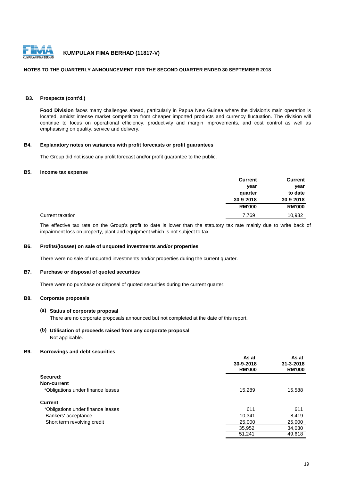

#### **NOTES TO THE QUARTERLY ANNOUNCEMENT FOR THE SECOND QUARTER ENDED 30 SEPTEMBER 2018**

#### **B3. Prospects (cont'd.)**

**Food Division** faces many challenges ahead, particularly in Papua New Guinea where the division's main operation is located, amidst intense market competition from cheaper imported products and currency fluctuation. The division will continue to focus on operational efficiency, productivity and margin improvements, and cost control as well as emphasising on quality, service and delivery.

#### **B4. Explanatory notes on variances with profit forecasts or profit guarantees**

The Group did not issue any profit forecast and/or profit guarantee to the public.

#### **B5. Income tax expense**

|                  | <b>Current</b> | <b>Current</b> |
|------------------|----------------|----------------|
|                  | year           | year           |
|                  | quarter        | to date        |
|                  | 30-9-2018      | 30-9-2018      |
|                  | <b>RM'000</b>  | <b>RM'000</b>  |
| Current taxation | 7,769          | 10,932         |

The effective tax rate on the Group's profit to date is lower than the statutory tax rate mainly due to write back of impairment loss on property, plant and equipment which is not subject to tax.

#### **B6. Profits/(losses) on sale of unquoted investments and/or properties**

There were no sale of unquoted investments and/or properties during the current quarter.

#### **B7. Purchase or disposal of quoted securities**

There were no purchase or disposal of quoted securities during the current quarter.

#### **B8. Corporate proposals**

#### **(a) Status of corporate proposal**

There are no corporate proposals announced but not completed at the date of this report.

#### **(b) Utilisation of proceeds raised from any corporate proposal** Not applicable.

#### **B9. Borrowings and debt securities**

|                                   | As at<br>30-9-2018<br><b>RM'000</b> | As at<br>$31 - 3 - 2018$<br><b>RM'000</b> |
|-----------------------------------|-------------------------------------|-------------------------------------------|
| Secured:                          |                                     |                                           |
| Non-current                       |                                     |                                           |
| *Obligations under finance leases | 15,289                              | 15,588                                    |
| <b>Current</b>                    |                                     |                                           |
| *Obligations under finance leases | 611                                 | 611                                       |
| Bankers' acceptance               | 10,341                              | 8,419                                     |
| Short term revolving credit       | 25,000                              | 25,000                                    |
|                                   | 35,952                              | 34,030                                    |
|                                   | 51,241                              | 49,618                                    |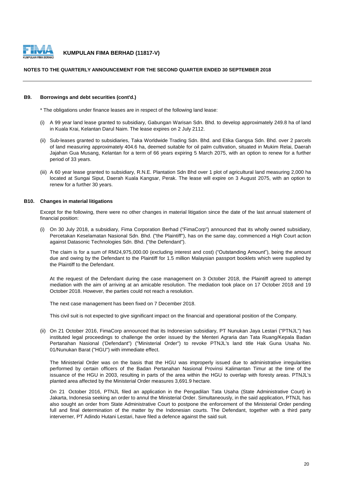

#### **NOTES TO THE QUARTERLY ANNOUNCEMENT FOR THE SECOND QUARTER ENDED 30 SEPTEMBER 2018**

#### **B9. Borrowings and debt securities (cont'd.)**

\* The obligations under finance leases are in respect of the following land lease:

- (i) A 99 year land lease granted to subsidiary, Gabungan Warisan Sdn. Bhd. to develop approximately 249.8 ha of land in Kuala Krai, Kelantan Darul Naim. The lease expires on 2 July 2112.
- (ii) Sub-leases granted to subsidiaries, Taka Worldwide Trading Sdn. Bhd. and Etika Gangsa Sdn. Bhd. over 2 parcels of land measuring approximately 404.6 ha, deemed suitable for oil palm cultivation, situated in Mukim Relai, Daerah Jajahan Gua Musang, Kelantan for a term of 66 years expiring 5 March 2075, with an option to renew for a further period of 33 years.
- (iii) A 60 year lease granted to subsidiary, R.N.E. Plantation Sdn Bhd over 1 plot of agricultural land measuring 2,000 ha located at Sungai Siput, Daerah Kuala Kangsar, Perak. The lease will expire on 3 August 2075, with an option to renew for a further 30 years.

#### **B10. Changes in material litigations**

Except for the following, there were no other changes in material litigation since the date of the last annual statement of financial position:

(i) On 30 July 2018, a subsidiary, Fima Corporation Berhad ("FimaCorp") announced that its wholly owned subsidiary, Percetakan Keselamatan Nasional Sdn. Bhd. ("the Plaintiff"), has on the same day, commenced a High Court action against Datasonic Technologies Sdn. Bhd. ("the Defendant").

The claim is for a sum of RM24,975,000.00 (excluding interest and cost) ("Outstanding Amount"), being the amount due and owing by the Defendant to the Plaintiff for 1.5 million Malaysian passport booklets which were supplied by the Plaintiff to the Defendant.

At the request of the Defendant during the case management on 3 October 2018, the Plaintiff agreed to attempt mediation with the aim of arriving at an amicable resolution. The mediation took place on 17 October 2018 and 19 October 2018. However, the parties could not reach a resolution.

The next case management has been fixed on 7 December 2018.

This civil suit is not expected to give significant impact on the financial and operational position of the Company.

(ii) On 21 October 2016, FimaCorp announced that its Indonesian subsidiary, PT Nunukan Jaya Lestari ("PTNJL") has instituted legal proceedings to challenge the order issued by the Menteri Agraria dan Tata Ruang/Kepala Badan Pertanahan Nasional ('Defendant") ("Ministerial Order") to revoke PTNJL's land title Hak Guna Usaha No. 01/Nunukan Barat ("HGU") with immediate effect.

The Ministerial Order was on the basis that the HGU was improperly issued due to administrative irregularities performed by certain officers of the Badan Pertanahan Nasional Provinsi Kalimantan Timur at the time of the issuance of the HGU in 2003, resulting in parts of the area within the HGU to overlap with foresty areas. PTNJL's planted area affected by the Ministerial Order measures 3,691.9 hectare.

On 21 October 2016, PTNJL filed an application in the Pengadilan Tata Usaha (State Administrative Court) in Jakarta, Indonesia seeking an order to annul the Ministerial Order. Simultaneously, in the said application, PTNJL has also sought an order from State Administrative Court to postpone the enforcement of the Ministerial Order pending full and final determination of the matter by the Indonesian courts. The Defendant, together with a third party interverner, PT Adindo Hutani Lestari, have filed a defence against the said suit.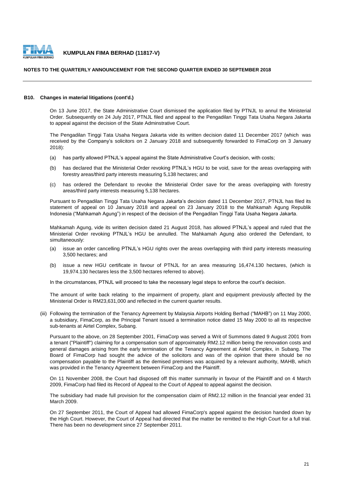

#### **NOTES TO THE QUARTERLY ANNOUNCEMENT FOR THE SECOND QUARTER ENDED 30 SEPTEMBER 2018**

#### **B10. Changes in material litigations (cont'd.)**

On 13 June 2017, the State Administrative Court dismissed the application filed by PTNJL to annul the Ministerial Order. Subsequently on 24 July 2017, PTNJL filed and appeal to the Pengadilan Tinggi Tata Usaha Negara Jakarta to appeal against the decision of the State Adminstrative Court.

The Pengadilan Tinggi Tata Usaha Negara Jakarta vide its written decision dated 11 December 2017 (which was received by the Company's solicitors on 2 January 2018 and subsequently forwarded to FimaCorp on 3 January 2018):

- (a) has partly allowed PTNJL's appeal against the State Administrative Court's decision, with costs;
- (b) has declared that the Ministerial Order revoking PTNJL's HGU to be void, save for the areas overlapping with forestry areas/third party interests measuring 5,138 hectares; and
- (c) has ordered the Defendant to revoke the Ministerial Order save for the areas overlapping with forestry areas/third party interests measuring 5,138 hectares.

Pursuant to Pengadilan Tinggi Tata Usaha Negara Jakarta's decision dated 11 December 2017, PTNJL has filed its statement of appeal on 10 January 2018 and appeal on 23 January 2018 to the Mahkamah Agung Republik Indonesia ("Mahkamah Agung") in respect of the decision of the Pengadilan Tinggi Tata Usaha Negara Jakarta.

Mahkamah Agung, vide its written decision dated 21 August 2018, has allowed PTNJL's appeal and ruled that the Ministerial Order revoking PTNJL's HGU be annulled. The Mahkamah Agung also ordered the Defendant, to simultaneously:

- (a) issue an order cancelling PTNJL's HGU rights over the areas overlapping with third party interests measuring 3,500 hectares; and
- $(b)$ issue a new HGU certificate in favour of PTNJL for an area measuring 16,474.130 hectares, (which is 19,974.130 hectares less the 3,500 hectares referred to above).

In the circumstances, PTNJL will proceed to take the necessary legal steps to enforce the court's decision.

The amount of write back relating to the impairment of property, plant and equipment previously affected by the Ministerial Order is RM23,631,000 and reflected in the current quarter results.

(iii) Following the termination of the Tenancy Agreement by Malaysia Airports Holding Berhad ("MAHB") on 11 May 2000, a subsidiary, FimaCorp, as the Principal Tenant issued a termination notice dated 15 May 2000 to all its respective sub-tenants at Airtel Complex, Subang.

Pursuant to the above, on 28 September 2001, FimaCorp was served a Writ of Summons dated 9 August 2001 from a tenant ("Plaintiff") claiming for a compensation sum of approximately RM2.12 million being the renovation costs and general damages arising from the early termination of the Tenancy Agreement at Airtel Complex, in Subang. The Board of FimaCorp had sought the advice of the solicitors and was of the opinion that there should be no compensation payable to the Plaintiff as the demised premises was acquired by a relevant authority, MAHB, which was provided in the Tenancy Agreement between FimaCorp and the Plaintiff.

On 11 November 2008, the Court had disposed off this matter summarily in favour of the Plaintiff and on 4 March 2009, FimaCorp had filed its Record of Appeal to the Court of Appeal to appeal against the decision.

The subsidiary had made full provision for the compensation claim of RM2.12 million in the financial year ended 31 March 2009.

On 27 September 2011, the Court of Appeal had allowed FimaCorp's appeal against the decision handed down by the High Court. However, the Court of Appeal had directed that the matter be remitted to the High Court for a full trial. There has been no development since 27 September 2011.